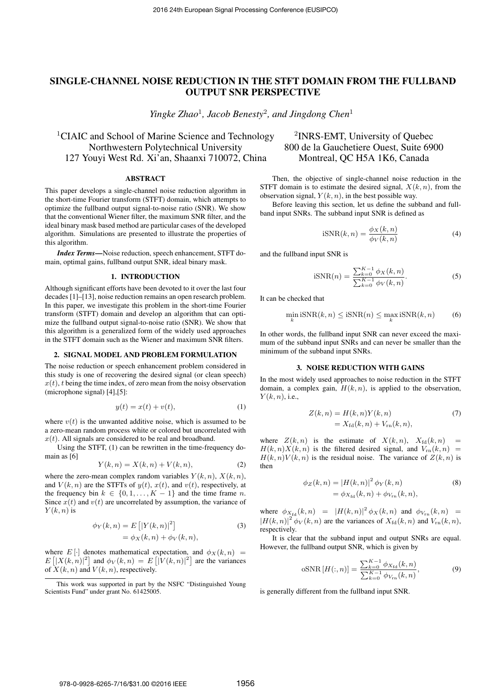# SINGLE-CHANNEL NOISE REDUCTION IN THE STFT DOMAIN FROM THE FULLBAND OUTPUT SNR PERSPECTIVE

*Yingke Zhao*<sup>1</sup>*, Jacob Benesty*<sup>2</sup>*, and Jingdong Chen*<sup>1</sup>

<sup>1</sup>CIAIC and School of Marine Science and Technology <sup>2</sup>INRS-EMT, University of Quebec Northwestern Polytechnical University 800 de la Gauchetiere Ouest, Suite 6900 127 Youyi West Rd. Xi'an, Shaanxi 710072, China Montreal, QC H5A 1K6, Canada

### ABSTRACT

This paper develops a single-channel noise reduction algorithm in the short-time Fourier transform (STFT) domain, which attempts to optimize the fullband output signal-to-noise ratio (SNR). We show that the conventional Wiener filter, the maximum SNR filter, and the ideal binary mask based method are particular cases of the developed algorithm. Simulations are presented to illustrate the properties of this algorithm.

*Index Terms*—Noise reduction, speech enhancement, STFT domain, optimal gains, fullband output SNR, ideal binary mask.

#### 1. INTRODUCTION

Although significant efforts have been devoted to it over the last four decades [1]–[13], noise reduction remains an open research problem. In this paper, we investigate this problem in the short-time Fourier transform (STFT) domain and develop an algorithm that can optimize the fullband output signal-to-noise ratio (SNR). We show that this algorithm is a generalized form of the widely used approaches in the STFT domain such as the Wiener and maximum SNR filters.

# 2. SIGNAL MODEL AND PROBLEM FORMULATION

The noise reduction or speech enhancement problem considered in this study is one of recovering the desired signal (or clean speech)  $x(t)$ , *t* being the time index, of zero mean from the noisy observation (microphone signal) [4],[5]:

$$
y(t) = x(t) + v(t),
$$
\n<sup>(1)</sup>

where  $v(t)$  is the unwanted additive noise, which is assumed to be a zero-mean random process white or colored but uncorrelated with  $x(t)$ . All signals are considered to be real and broadband.

Using the STFT, (1) can be rewritten in the time-frequency domain as [6]

$$
Y(k, n) = X(k, n) + V(k, n),
$$
 (2)

where the zero-mean complex random variables  $Y(k, n)$ ,  $X(k, n)$ , and  $V(k, n)$  are the STFTs of  $y(t)$ ,  $x(t)$ , and  $v(t)$ , respectively, at the frequency bin  $k \in \{0, 1, \ldots, K-1\}$  and the time frame *n*. Since  $x(t)$  and  $v(t)$  are uncorrelated by assumption, the variance of  $Y(k, n)$  is

$$
\begin{aligned} \phi_Y(k,n) &= E\left[|Y(k,n)|^2\right] \\ &= \phi_X(k,n) + \phi_V(k,n), \end{aligned} \tag{3}
$$

where  $E[\cdot]$  denotes mathematical expectation, and  $\phi_X(k,n)$  $E\left[|X(k,n)|^2\right]$  and  $\phi_V(k,n) = E\left[|V(k,n)|^2\right]$  are the variances of  $\bar{X}(k, n)$  and  $V(k, n)$ , respectively.

Then, the objective of single-channel noise reduction in the STFT domain is to estimate the desired signal,  $X(k, n)$ , from the observation signal,  $Y(k, n)$ , in the best possible way.

Before leaving this section, let us define the subband and fullband input SNRs. The subband input SNR is defined as

$$
iSNR(k,n) = \frac{\phi_X(k,n)}{\phi_V(k,n)}\tag{4}
$$

and the fullband input SNR is

$$
iSNR(n) = \frac{\sum_{k=0}^{K-1} \phi_X(k, n)}{\sum_{k=0}^{K-1} \phi_V(k, n)}.
$$
 (5)

It can be checked that

$$
\min_{k} \text{iSNR}(k, n) \le \text{iSNR}(n) \le \max_{k} \text{iSNR}(k, n) \tag{6}
$$

In other words, the fullband input SNR can never exceed the maximum of the subband input SNRs and can never be smaller than the minimum of the subband input SNRs.

### 3. NOISE REDUCTION WITH GAINS

In the most widely used approaches to noise reduction in the STFT domain, a complex gain,  $H(k, n)$ , is applied to the observation, *Y* (*k, n*), i.e.,

$$
Z(k,n) = H(k,n)Y(k,n)
$$
  
=  $X_{\text{fd}}(k,n) + V_{\text{rn}}(k,n)$ , (7)

where  $Z(k, n)$  is the estimate of  $X(k, n)$ ,  $X_{\text{fd}}(k, n)$  =  $H(k, n)X(k, n)$  is the filtered desired signal, and  $V_{rn}(k, n)$  =  $H(k,n)V(k,n)$  is the residual noise. The variance of  $Z(k,n)$  is then

$$
\begin{aligned} \phi_Z(k,n) &= |H(k,n)|^2 \, \phi_Y(k,n) \\ &= \phi_{X_{\text{fd}}}(k,n) + \phi_{V_{\text{rn}}}(k,n), \end{aligned} \tag{8}
$$

where  $\phi_{X_{\text{fd}}}(k,n) = |H(k,n)|^2 \phi_X(k,n)$  and  $\phi_{V_{\text{rn}}}(k,n) =$  $|H(k,n)|^2 \phi_V(k,n)$  are the variances of  $X_{\text{fd}}(k,n)$  and  $V_{\text{rn}}(k,n)$ , respectively.

It is clear that the subband input and output SNRs are equal. However, the fullband output SNR, which is given by

$$
\text{oSNR}\left[H(:,n)\right] = \frac{\sum_{k=0}^{K-1} \phi_{X_{\text{fd}}}(k,n)}{\sum_{k=0}^{K-1} \phi_{V_{\text{rn}}}(k,n)},\tag{9}
$$

is generally different from the fullband input SNR.

This work was supported in part by the NSFC "Distinguished Young Scientists Fund" under grant No. 61425005.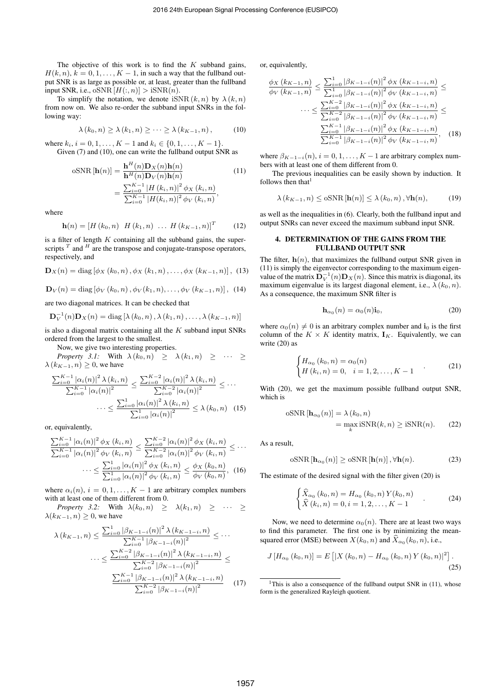The objective of this work is to find the *K* subband gains,  $H(k, n), k = 0, 1, \ldots, K - 1$ , in such a way that the fullband output SNR is as large as possible or, at least, greater than the fullband input SNR, i.e.,  $\text{oSNR}[H(:, n)] > \text{iSNR}(n)$ .

To simplify the notation, we denote  $\text{isNR}(k, n)$  by  $\lambda(k, n)$ from now on. We also re-order the subband input SNRs in the following way:

$$
\lambda(k_0, n) \geq \lambda(k_1, n) \geq \cdots \geq \lambda(k_{K-1}, n), \qquad (10)
$$

where  $k_i$ ,  $i = 0, 1, \ldots, K - 1$  and  $k_i \in \{0, 1, \ldots, K - 1\}$ . Given (7) and (10), one can write the fullband output SNR as

$$
\text{oSNR}[\mathbf{h}(n)] = \frac{\mathbf{h}^{H}(n)\mathbf{D}_{X}(n)\mathbf{h}(n)}{\mathbf{h}^{H}(n)\mathbf{D}_{V}(n)\mathbf{h}(n)} = \frac{\sum_{i=0}^{K-1} |H(k_{i}, n)|^{2} \phi_{X}(k_{i}, n)}{\sum_{i=0}^{K-1} |H(k_{i}, n)|^{2} \phi_{V}(k_{i}, n)},
$$
\n(11)

where

$$
\mathbf{h}(n) = [H (k_0, n) H (k_1, n) ... H (k_{K-1}, n)]^T
$$
 (12)

is a filter of length *K* containing all the subband gains, the superscripts  $^T$  and  $^H$  are the transpose and conjugate-transpose operators, respectively, and

$$
\mathbf{D}_{X}(n) = \text{diag} \left[ \phi_{X}\left(k_{0}, n\right), \phi_{X}\left(k_{1}, n\right), \ldots, \phi_{X}\left(k_{K-1}, n\right) \right], (13)
$$

$$
\mathbf{D}_V(n) = \text{diag} \left[ \phi_V(k_0, n), \phi_V(k_1, n), \dots, \phi_V(k_{K-1}, n) \right], (14)
$$

are two diagonal matrices. It can be checked that

$$
\mathbf{D}_V^{-1}(n)\mathbf{D}_X(n) = \text{diag}\left[\lambda(k_0, n), \lambda(k_1, n), \ldots, \lambda(k_{K-1}, n)\right]
$$

is also a diagonal matrix containing all the *K* subband input SNRs ordered from the largest to the smallest.

Now, we give two interesting properties.

Property 3.1: With 
$$
\lambda(k_0, n) \geq \lambda(k_1, n) \geq \cdots \geq \lambda(k_{K-1}, n) \geq 0
$$
, we have

$$
\frac{\sum_{i=0}^{K-1} |\alpha_i(n)|^2 \lambda(k_i, n)}{\sum_{i=0}^{K-1} |\alpha_i(n)|^2} \le \frac{\sum_{i=0}^{K-2} |\alpha_i(n)|^2 \lambda(k_i, n)}{\sum_{i=0}^{K-2} |\alpha_i(n)|^2} \le \cdots
$$

$$
\cdots \le \frac{\sum_{i=0}^{1} |\alpha_i(n)|^2 \lambda(k_i, n)}{\sum_{i=0}^{1} |\alpha_i(n)|^2} \le \lambda(k_0, n) \quad (15)
$$

or, equivalently,

$$
\frac{\sum_{i=0}^{K-1} |\alpha_i(n)|^2 \phi_X(k_i, n)}{\sum_{i=0}^{K-1} |\alpha_i(n)|^2 \phi_V(k_i, n)} \le \frac{\sum_{i=0}^{K-2} |\alpha_i(n)|^2 \phi_X(k_i, n)}{\sum_{i=0}^{K-2} |\alpha_i(n)|^2 \phi_V(k_i, n)} \le \cdots
$$

$$
\cdots \le \frac{\sum_{i=0}^{1} |\alpha_i(n)|^2 \phi_X(k_i, n)}{\sum_{i=0}^{1} |\alpha_i(n)|^2 \phi_V(k_i, n)} \le \frac{\phi_X(k_0, n)}{\phi_V(k_0, n)}, \quad (16)
$$

where  $\alpha_i(n)$ ,  $i = 0, 1, \ldots, K - 1$  are arbitrary complex numbers with at least one of them different from 0.

*Property 3.2:* With  $\lambda(k_0, n) \geq \lambda(k_1, n) \geq \cdots \geq$  $\lambda(k_{K-1}, n) \geq 0$ , we have

$$
\lambda(k_{K-1}, n) \le \frac{\sum_{i=0}^{1} |\beta_{K-1-i}(n)|^2 \lambda(k_{K-1-i}, n)}{\sum_{i=0}^{K-1} |\beta_{K-1-i}(n)|^2} \le \cdots
$$

$$
\cdots \le \frac{\sum_{i=0}^{K-2} |\beta_{K-1-i}(n)|^2 \lambda(k_{K-1-i}, n)}{\sum_{i=0}^{K-2} |\beta_{K-1-i}(n)|^2} \le \frac{\sum_{i=0}^{K-1} |\beta_{K-1-i}(n)|^2 \lambda(k_{K-1-i}, n)}{\sum_{i=0}^{K-2} |\beta_{K-1-i}(n)|^2} \tag{17}
$$

or, equivalently,

$$
\frac{\phi_X(k_{K-1},n)}{\phi_V(k_{K-1},n)} \le \frac{\sum_{i=0}^1 |\beta_{K-1-i}(n)|^2 \phi_X(k_{K-1-i},n)}{\sum_{i=0}^1 |\beta_{K-1-i}(n)|^2 \phi_V(k_{K-1-i},n)} \le \dots \le \frac{\sum_{i=0}^{K-2} |\beta_{K-1-i}(n)|^2 \phi_X(k_{K-1-i},n)}{\sum_{i=0}^{K-2} |\beta_{K-1-i}(n)|^2 \phi_V(k_{K-1-i},n)} \le \frac{\sum_{i=0}^{K-1} |\beta_{K-1-i}(n)|^2 \phi_X(k_{K-1-i},n)}{\sum_{i=0}^{K-1} |\beta_{K-1-i}(n)|^2 \phi_V(k_{K-1-i},n)}, \quad (18)
$$

where  $\beta_{K-1-i}(n)$ ,  $i = 0, 1, \ldots, K-1$  are arbitrary complex numbers with at least one of them different from 0.

The previous inequalities can be easily shown by induction. It follows then that $<sup>1</sup>$ </sup>

$$
\lambda(k_{K-1}, n) \leq \mathrm{oSNR}\left[\mathbf{h}(n)\right] \leq \lambda(k_0, n), \forall \mathbf{h}(n),\tag{19}
$$

as well as the inequalities in (6). Clearly, both the fullband input and output SNRs can never exceed the maximum subband input SNR.

# 4. DETERMINATION OF THE GAINS FROM THE FULLBAND OUTPUT SNR

The filter,  $h(n)$ , that maximizes the fullband output SNR given in (11) is simply the eigenvector corresponding to the maximum eigenvalue of the matrix  $\mathbf{D}_V^{-1}(n)\mathbf{D}_X(n)$ . Since this matrix is diagonal, its maximum eigenvalue is its largest diagonal element, i.e.,  $\lambda$  ( $k_0$ , *n*). As a consequence, the maximum SNR filter is

$$
\mathbf{h}_{\alpha_0}(n) = \alpha_0(n)\mathbf{i}_0,\tag{20}
$$

where  $\alpha_0(n) \neq 0$  is an arbitrary complex number and i<sub>0</sub> is the first column of the  $K \times K$  identity matrix,  $\mathbf{I}_K$ . Equivalently, we can write (20) as

$$
\begin{cases} H_{\alpha_0}(k_0, n) = \alpha_0(n) \\ H(k_i, n) = 0, \quad i = 1, 2, \dots, K - 1 \end{cases}
$$
 (21)

With (20), we get the maximum possible fullband output SNR, which is

$$
\text{oSNR}[\mathbf{h}_{\alpha_0}(n)] = \lambda(k_0, n)
$$
  
= 
$$
\max_{k} \text{iSNR}(k, n) \geq \text{iSNR}(n).
$$
 (22)

As a result,

$$
\text{oSNR}\left[\mathbf{h}_{\alpha_0}(n)\right] \ge \text{oSNR}\left[\mathbf{h}(n)\right], \forall \mathbf{h}(n). \tag{23}
$$

The estimate of the desired signal with the filter given (20) is

$$
\begin{cases}\n\widehat{X}_{\alpha_0}(k_0, n) = H_{\alpha_0}(k_0, n) Y(k_0, n) \\
\widehat{X}(k_i, n) = 0, i = 1, 2, \dots, K - 1\n\end{cases}
$$
\n(24)

Now, we need to determine  $\alpha_0(n)$ . There are at least two ways to find this parameter. The first one is by minimizing the meansquared error (MSE) between  $X(k_0, n)$  and  $\widehat{X}_{\alpha_0}(k_0, n)$ , i.e.,

$$
J\left[H_{\alpha_0}(k_0,n)\right] = E\left[\left|X\left(k_0,n\right) - H_{\alpha_0}(k_0,n)Y\left(k_0,n\right)\right|^2\right].
$$
\n(25)

<sup>&</sup>lt;sup>1</sup>This is also a consequence of the fullband output SNR in  $(11)$ , whose form is the generalized Rayleigh quotient.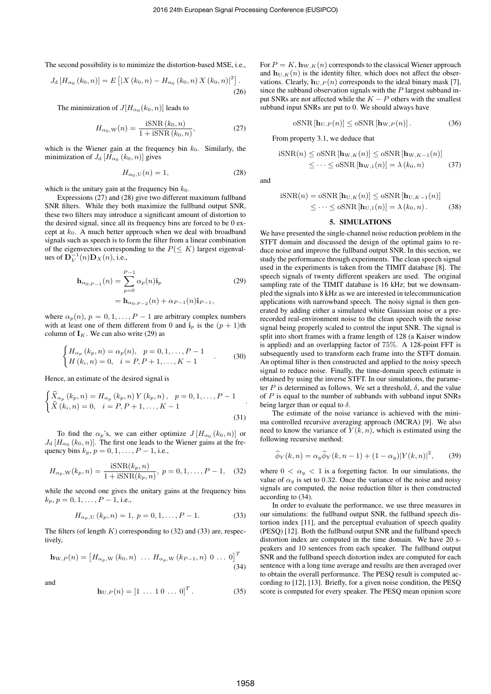The second possibility is to minimize the distortion-based MSE, i.e.,

$$
J_{\mathrm{d}}\left[H_{\alpha_{0}}\left(k_{0},n\right)\right] = E\left[\left|X\left(k_{0},n\right) - H_{\alpha_{0}}\left(k_{0},n\right)X\left(k_{0},n\right)\right|^{2}\right].
$$
\n(26)

The minimization of  $J[H_{\alpha_0}(k_0,n)]$  leads to

$$
H_{\alpha_0, \mathcal{W}}(n) = \frac{\text{iSNR}(k_0, n)}{1 + \text{iSNR}(k_0, n)},\tag{27}
$$

which is the Wiener gain at the frequency bin  $k_0$ . Similarly, the minimization of  $J_d$  [ $H_{\alpha_0}$  ( $k_0$ *, n*)] gives

$$
H_{\alpha_0, \mathcal{U}}(n) = 1,\tag{28}
$$

which is the unitary gain at the frequency bin  $k_0$ .

Expressions (27) and (28) give two different maximum fullband SNR filters. While they both maximize the fullband output SNR, these two filters may introduce a significant amount of distortion to the desired signal, since all its frequency bins are forced to be 0 except at  $k_0$ . A much better approach when we deal with broadband signals such as speech is to form the filter from a linear combination of the eigenvectors corresponding to the  $P(\leq K)$  largest eigenval**ues of**  ${\bf D}_V^{-1}(n){\bf D}_X(n)$ , i.e.,

$$
\mathbf{h}_{\alpha_{0:P-1}}(n) = \sum_{p=0}^{P-1} \alpha_p(n) \mathbf{i}_p
$$
  
=  $\mathbf{h}_{\alpha_{0:P-2}}(n) + \alpha_{P-1}(n) \mathbf{i}_{P-1},$  (29)

where  $\alpha_p(n)$ ,  $p = 0, 1, \ldots, P - 1$  are arbitrary complex numbers with at least one of them different from 0 and  $\mathbf{i}_p$  is the  $(p+1)$ th column of  $I_K$ . We can also write (29) as

$$
\begin{cases}\nH_{\alpha_p}(k_p, n) = \alpha_p(n), & p = 0, 1, \dots, P - 1 \\
H(k_i, n) = 0, & i = P, P + 1, \dots, K - 1\n\end{cases}
$$
\n(30)

Hence, an estimate of the desired signal is

$$
\begin{cases}\n\widehat{X}_{\alpha_p}(k_p, n) = H_{\alpha_p}(k_p, n) Y(k_p, n), & p = 0, 1, \dots, P - 1 \\
\widehat{X}(k_i, n) = 0, & i = P, P + 1, \dots, K - 1\n\end{cases} \tag{31}
$$

To find the  $\alpha_p$ 's, we can either optimize  $J[H_{\alpha_0}(k_0,n)]$  or  $J_d$  [ $H_{\alpha_0}$  ( $k_0$ , *n*)]. The first one leads to the Wiener gains at the frequency bins  $k_p$ ,  $p = 0, 1, ..., P - 1$ , i.e.,

$$
H_{\alpha_p, \mathcal{W}}(k_p, n) = \frac{\text{iSNR}(k_p, n)}{1 + \text{iSNR}(k_p, n)}, \ p = 0, 1, \dots, P - 1,
$$
 (32)

while the second one gives the unitary gains at the frequency bins  $k_p, p = 0, 1, \ldots, P-1$ , i.e.,

$$
H_{\alpha_p, U}(k_p, n) = 1, p = 0, 1, \dots, P - 1.
$$
 (33)

The filters (of length *K*) corresponding to (32) and (33) are, respectively,

$$
\mathbf{h}_{W,P}(n) = \begin{bmatrix} H_{\alpha_p, W}(k_0, n) & \dots & H_{\alpha_p, W}(k_{P-1}, n) & 0 & \dots & 0 \end{bmatrix}^T
$$
\n(34)

and

$$
\mathbf{h}_{U,P}(n) = [1 \ \dots \ 1 \ 0 \ \dots \ 0]^T. \tag{35}
$$

For  $P = K$ ,  $\mathbf{h}_{W,K}(n)$  corresponds to the classical Wiener approach and  $\mathbf{h}_{U,K}(n)$  is the identity filter, which does not affect the observations. Clearly,  $\mathbf{h}_{U,P}(n)$  corresponds to the ideal binary mask [7], since the subband observation signals with the *P* largest subband input SNRs are not affected while the  $K - P$  others with the smallest subband input SNRs are put to 0. We should always have

$$
\text{oSNR}[\mathbf{h}_{\text{U},P}(n)] \leq \text{oSNR}[\mathbf{h}_{\text{W},P}(n)].\tag{36}
$$

From property 3.1, we deduce that

$$
\text{iSNR}(n) \leq \text{oSNR}[\mathbf{h}_{\mathbf{W},K}(n)] \leq \text{oSNR}[\mathbf{h}_{\mathbf{W},K-1}(n)]
$$
  

$$
\leq \cdots \leq \text{oSNR}[\mathbf{h}_{\mathbf{W},1}(n)] = \lambda(k_0, n) \tag{37}
$$

and

$$
iSNR(n) = oSNR [\mathbf{h}_{U,K}(n)] \leq oSNR [\mathbf{h}_{U,K-1}(n)]
$$
  

$$
\leq \cdots \leq oSNR [\mathbf{h}_{U,1}(n)] = \lambda (k_0, n).
$$
 (38)

## 5. SIMULATIONS

We have presented the single-channel noise reduction problem in the STFT domain and discussed the design of the optimal gains to reduce noise and improve the fullband output SNR. In this section, we study the performance through experiments. The clean speech signal used in the experiments is taken from the TIMIT database [8]. The speech signals of twenty different speakers are used. The original sampling rate of the TIMIT database is 16 kHz; but we downsampled the signals into 8 kHz as we are interested in telecommunication applications with narrowband speech. The noisy signal is then generated by adding either a simulated white Gaussian noise or a prerecorded real-environment noise to the clean speech with the noise signal being properly scaled to control the input SNR. The signal is split into short frames with a frame length of 128 (a Kaiser window is applied) and an overlapping factor of 75%. A 128-point FFT is subsequently used to transform each frame into the STFT domain. An optimal filter is then constructed and applied to the noisy speech signal to reduce noise. Finally, the time-domain speech estimate is obtained by using the inverse STFT. In our simulations, the parameter *P* is determined as follows. We set a threshold,  $\delta$ , and the value of *P* is equal to the number of subbands with subband input SNRs being larger than or equal to  $\delta$ .

The estimate of the noise variance is achieved with the minima controlled recursive averaging approach (MCRA) [9]. We also need to know the variance of  $Y(k, n)$ , which is estimated using the following recursive method:

$$
\widehat{\phi}_Y(k,n) = \alpha_y \widehat{\phi}_Y(k,n-1) + (1-\alpha_y)|Y(k,n)|^2, \qquad (39)
$$

where  $0 < \alpha_y < 1$  is a forgetting factor. In our simulations, the value of  $\alpha_y$  is set to 0.32. Once the variance of the noise and noisy signals are computed, the noise reduction filter is then constructed according to (34).

In order to evaluate the performance, we use three measures in our simulations: the fullband output SNR, the fullband speech distortion index [11], and the perceptual evaluation of speech quality (PESQ) [12]. Both the fullband output SNR and the fullband speech distortion index are computed in the time domain. We have 20 speakers and 10 sentences from each speaker. The fullband output SNR and the fullband speech distortion index are computed for each sentence with a long time average and results are then averaged over to obtain the overall performance. The PESQ result is computed according to [12], [13]. Briefly, for a given noise condition, the PESQ score is computed for every speaker. The PESQ mean opinion score